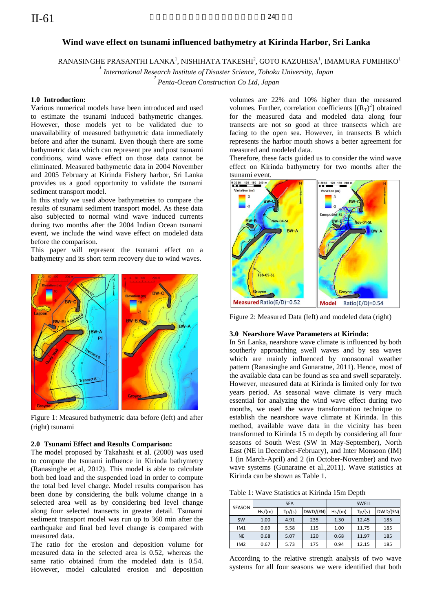# **Wind wave effect on tsunami influenced bathymetry at Kirinda Harbor, Sri Lanka**

RANASINGHE PRASANTHI LANKA $^{\rm l}$ , NISHIHATA TAKESHI $^{\rm 2}$ , GOTO KAZUHISA $^{\rm l}$ , IMAMURA FUMIHIKO $^{\rm l}$ 

*1 International Research Institute of Disaster Science, Tohoku University, Japan*

*2 Penta-Ocean Construction Co Ltd, Japan*

# **1.0 Introduction:**

Various numerical models have been introduced and used to estimate the tsunami induced bathymetric changes. However, those models yet to be validated due to unavailability of measured bathymetric data immediately before and after the tsunami. Even though there are some bathymetric data which can represent pre and post tsunami conditions, wind wave effect on those data cannot be eliminated. Measured bathymetric data in 2004 November and 2005 February at Kirinda Fishery harbor, Sri Lanka provides us a good opportunity to validate the tsunami sediment transport model.

In this study we used above bathymetries to compare the results of tsunami sediment transport model. As these data also subjected to normal wind wave induced currents during two months after the 2004 Indian Ocean tsunami event, we include the wind wave effect on modeled data before the comparison.

This paper will represent the tsunami effect on a bathymetry and its short term recovery due to wind waves.



Figure 1: Measured bathymetric data before (left) and after (right) tsunami

#### **2.0 Tsunami Effect and Results Comparison:**

The model proposed by Takahashi et al. (2000) was used to compute the tsunami influence in Kirinda bathymetry (Ranasinghe et al, 2012). This model is able to calculate both bed load and the suspended load in order to compute the total bed level change. Model results comparison has been done by considering the bulk volume change in a selected area well as by considering bed level change along four selected transects in greater detail. Tsunami sediment transport model was run up to 360 min after the earthquake and final bed level change is compared with measured data.

The ratio for the erosion and deposition volume for measured data in the selected area is 0.52, whereas the same ratio obtained from the modeled data is 0.54. However, model calculated erosion and deposition volumes are 22% and 10% higher than the measured volumes. Further, correlation coefficients  $[(R_T)^2]$  obtained for the measured data and modeled data along four transects are not so good at three transects which are facing to the open sea. However, in transects B which represents the harbor mouth shows a better agreement for measured and modeled data.

Therefore, these facts guided us to consider the wind wave effect on Kirinda bathymetry for two months after the tsunami event.



Figure 2: Measured Data (left) and modeled data (right)

## **3.0 Nearshore Wave Parameters at Kirinda:**

In Sri Lanka, nearshore wave climate is influenced by both southerly approaching swell waves and by sea waves which are mainly influenced by monsoonal weather pattern (Ranasinghe and Gunaratne, 2011). Hence, most of the available data can be found as sea and swell separately. However, measured data at Kirinda is limited only for two years period. As seasonal wave climate is very much essential for analyzing the wind wave effect during two months, we used the wave transformation technique to establish the nearshore wave climate at Kirinda. In this method, available wave data in the vicinity has been transformed to Kirinda 15 m depth by considering all four seasons of South West (SW in May-September), North East (NE in December-February), and Inter Monsoon (IM) 1 (in March-April) and 2 (in October-November) and two wave systems (Gunaratne et al.,2011). Wave statistics at Kirinda can be shown as Table 1.

Table 1: Wave Statistics at Kirinda 15m Depth

| SEASON          | <b>SEA</b> |        |          | <b>SWELL</b> |        |          |
|-----------------|------------|--------|----------|--------------|--------|----------|
|                 | Hs/(m)     | Tp/(s) | DWD/(eN) | Hs/(m)       | Tp/(s) | DWD/(eN) |
| <b>SW</b>       | 1.00       | 4.91   | 235      | 1.30         | 12.45  | 185      |
| IM <sub>1</sub> | 0.69       | 5.58   | 115      | 1.00         | 11.75  | 185      |
| <b>NE</b>       | 0.68       | 5.07   | 120      | 0.68         | 11.97  | 185      |
| IM <sub>2</sub> | 0.67       | 5.73   | 175      | 0.94         | 12.15  | 185      |

According to the relative strength analysis of two wave systems for all four seasons we were identified that both